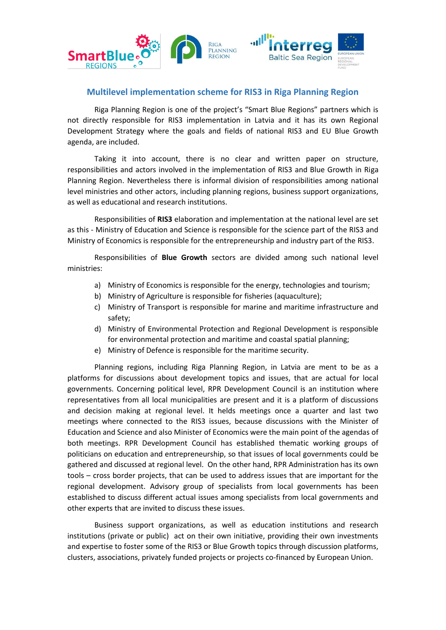

## **Multilevel implementation scheme for RIS3 in Riga Planning Region**

Riga Planning Region is one of the project's "Smart Blue Regions" partners which is not directly responsible for RIS3 implementation in Latvia and it has its own Regional Development Strategy where the goals and fields of national RIS3 and EU Blue Growth agenda, are included.

Taking it into account, there is no clear and written paper on structure, responsibilities and actors involved in the implementation of RIS3 and Blue Growth in Riga Planning Region. Nevertheless there is informal division of responsibilities among national level ministries and other actors, including planning regions, business support organizations, as well as educational and research institutions.

Responsibilities of **RIS3** elaboration and implementation at the national level are set as this - Ministry of Education and Science is responsible for the science part of the RIS3 and Ministry of Economics is responsible for the entrepreneurship and industry part of the RIS3.

Responsibilities of **Blue Growth** sectors are divided among such national level ministries:

- a) Ministry of Economics is responsible for the energy, technologies and tourism;
- b) Ministry of Agriculture is responsible for fisheries (aquaculture);
- c) Ministry of Transport is responsible for marine and maritime infrastructure and safety;
- d) Ministry of Environmental Protection and Regional Development is responsible for environmental protection and maritime and coastal spatial planning;
- e) Ministry of Defence is responsible for the maritime security.

Planning regions, including Riga Planning Region, in Latvia are ment to be as a platforms for discussions about development topics and issues, that are actual for local governments. Concerning political level, RPR Development Council is an institution where representatives from all local municipalities are present and it is a platform of discussions and decision making at regional level. It helds meetings once a quarter and last two meetings where connected to the RIS3 issues, because discussions with the Minister of Education and Science and also Minister of Economics were the main point of the agendas of both meetings. RPR Development Council has established thematic working groups of politicians on education and entrepreneurship, so that issues of local governments could be gathered and discussed at regional level. On the other hand, RPR Administration has its own tools – cross border projects, that can be used to address issues that are important for the regional development. Advisory group of specialists from local governments has been established to discuss different actual issues among specialists from local governments and other experts that are invited to discuss these issues.

Business support organizations, as well as education institutions and research institutions (private or public) act on their own initiative, providing their own investments and expertise to foster some of the RIS3 or Blue Growth topics through discussion platforms, clusters, associations, privately funded projects or projects co-financed by European Union.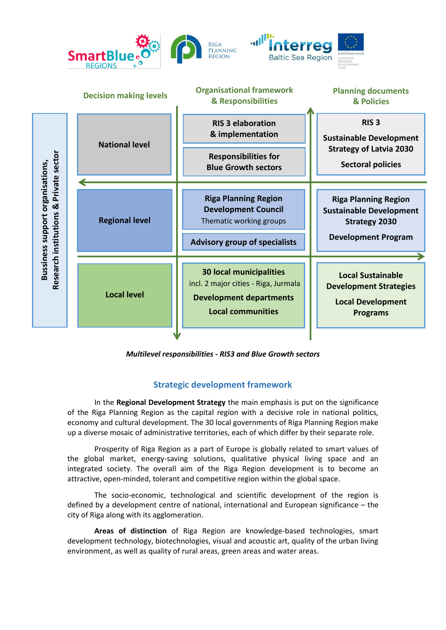

*Multilevel responsibilities - RIS3 and Blue Growth sectors*

## **Strategic development framework**

In the **Regional Development Strategy** the main emphasis is put on the significance of the Riga Planning Region as the capital region with a decisive role in national politics, economy and cultural development. The 30 local governments of Riga Planning Region make up a diverse mosaic of administrative territories, each of which differ by their separate role.

Prosperity of Riga Region as a part of Europe is globally related to smart values of the global market, energy-saving solutions, qualitative physical living space and an integrated society. The overall aim of the Riga Region development is to become an attractive, open-minded, tolerant and competitive region within the global space.

The socio-economic, technological and scientific development of the region is defined by a development centre of national, international and European significance – the city of Riga along with its agglomeration.

**Areas of distinction** of Riga Region are knowledge-based technologies, smart development technology, biotechnologies, visual and acoustic art, quality of the urban living environment, as well as quality of rural areas, green areas and water areas.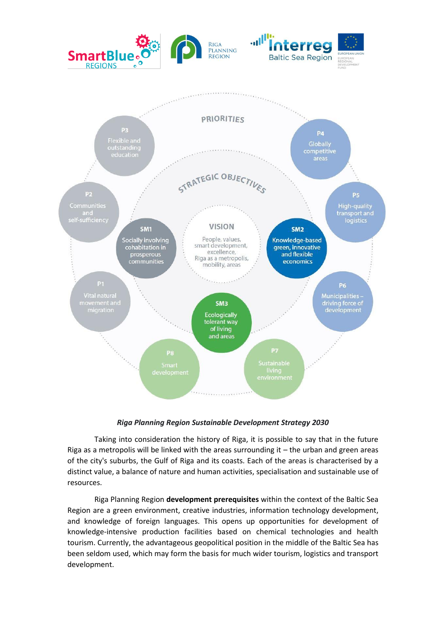

## *Riga Planning Region Sustainable Development Strategy 2030*

Taking into consideration the history of Riga, it is possible to say that in the future Riga as a metropolis will be linked with the areas surrounding it – the urban and green areas of the city's suburbs, the Gulf of Riga and its coasts. Each of the areas is characterised by a distinct value, a balance of nature and human activities, specialisation and sustainable use of resources.

Riga Planning Region **development prerequisites** within the context of the Baltic Sea Region are a green environment, creative industries, information technology development, and knowledge of foreign languages. This opens up opportunities for development of knowledge-intensive production facilities based on chemical technologies and health tourism. Currently, the advantageous geopolitical position in the middle of the Baltic Sea has been seldom used, which may form the basis for much wider tourism, logistics and transport development.